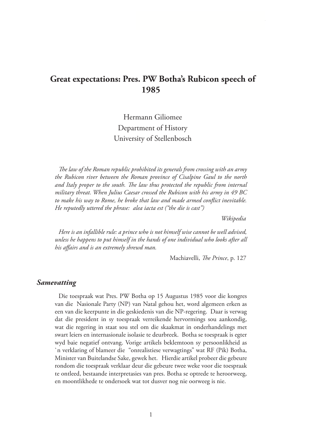# **Great expectations: Pres. PW Botha's Rubicon speech of 1985**

Hermann Giliomee Department of History University of Stellenbosch

*The law of the Roman republic prohibited its generals from crossing with an army the Rubicon river between the Roman province of Cisalpine Gaul to the north and Italy proper to the south. The law thus protected the republic from internal military threat. When Julius Caesar crossed the Rubicon with his army in 49 BC to make his way to Rome, he broke that law and made armed conflict inevitable. He reputedly uttered the phrase: alea iacta est ("the die is cast")*

 *Wikipedia*

*Here is an infallible rule: a prince who is not himself wise cannot be well advised, unless he happens to put himself in the hands of one individual who looks after all his affairs and is an extremely shrewd man.* 

Machiavelli, *The Prince*, p. 127

#### *Samevatting*

Die toespraak wat Pres. PW Botha op 15 Augustus 1985 voor die kongres van die Nasionale Party (NP) van Natal gehou het, word algemeen erken as een van die keerpunte in die geskiedenis van die NP-regering. Daar is verwag dat die president in sy toespraak verreikende hervormings sou aankondig, wat die regering in staat sou stel om die skaakmat in onderhandelings met swart leiers en internasionale isolasie te deurbreek. Botha se toespraak is egter wyd baie negatief ontvang. Vorige artikels beklemtoon sy persoonlikheid as `n verklaring of blameer die "onrealistiese verwagtings" wat RF (Pik) Botha, Minister van Buitelandse Sake, gewek het. Hierdie artikel probeer die gebeure rondom die toespraak verklaar deur die gebeure twee weke voor die toespraak te ontleed, bestaande interpretasies van pres. Botha se optrede te heroorweeg, en moontlikhede te ondersoek wat tot dusver nog nie oorweeg is nie.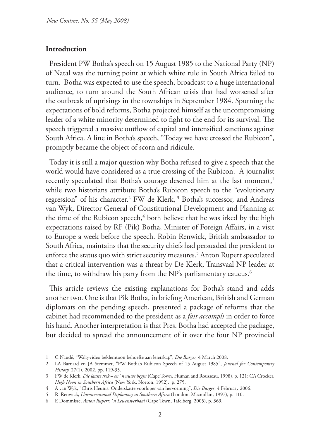#### **Introduction**

President PW Botha's speech on 15 August 1985 to the National Party (NP) of Natal was the turning point at which white rule in South Africa failed to turn. Botha was expected to use the speech, broadcast to a huge international audience, to turn around the South African crisis that had worsened after the outbreak of uprisings in the townships in September 1984. Spurning the expectations of bold reforms, Botha projected himself as the uncompromising leader of a white minority determined to fight to the end for its survival. The speech triggered a massive outflow of capital and intensified sanctions against South Africa. A line in Botha's speech, "Today we have crossed the Rubicon", promptly became the object of scorn and ridicule.

Today it is still a major question why Botha refused to give a speech that the world would have considered as a true crossing of the Rubicon. A journalist recently speculated that Botha's courage deserted him at the last moment,<sup>1</sup> while two historians attribute Botha's Rubicon speech to the "evolutionary regression" of his character.<sup>2</sup> FW de Klerk,<sup>3</sup> Botha's successor, and Andreas van Wyk, Director General of Constitutional Development and Planning at the time of the Rubicon speech, $\frac{4}{3}$  both believe that he was irked by the high expectations raised by RF (Pik) Botha, Minister of Foreign Affairs, in a visit to Europe a week before the speech. Robin Renwick, British ambassador to South Africa, maintains that the security chiefs had persuaded the president to enforce the status quo with strict security measures.5 Anton Rupert speculated that a critical intervention was a threat by De Klerk, Transvaal NP leader at the time, to withdraw his party from the NP's parliamentary caucus. $^6$ 

This article reviews the existing explanations for Botha's stand and adds another two. One is that Pik Botha, in briefing American, British and German diplomats on the pending speech, presented a package of reforms that the cabinet had recommended to the president as a *fait accompli* in order to force his hand. Another interpretation is that Pres. Botha had accepted the package, but decided to spread the announcement of it over the four NP provincial

<sup>1</sup> C Naudé, "Walg-video beklemtoon behoefte aan leierskap", *Die Burger,* 4 March 2008.

<sup>2</sup> LA Barnard en JA Stemmet, "PW Botha's Rubicon Speech of 15 August 1985", *Journal for Contemporary History,* 27(1), 2002, pp. 119-35.

<sup>3</sup> FW de Klerk, *Die laaste trek – en `n nuwe begin* (Cape Town, Human and Rousseau, 1998), p. 121; CA Crocker, *High Noon in Southern Africa* (New York, Norton, 1992), p. 275.

<sup>4</sup> A van Wyk, "Chris Heunis: Onderskatte voorloper van hervorming", *Die Burger*, 4 February 2006.

<sup>5</sup> R Renwick, *Unconventional Diplomacy in Southern Africa* (London, Macmillan, 1997), p. 110.

<sup>6</sup> E Dommisse, *Anton Rupert: `n Lewensverhaal* (Cape Town, Tafelberg, 2005), p. 369.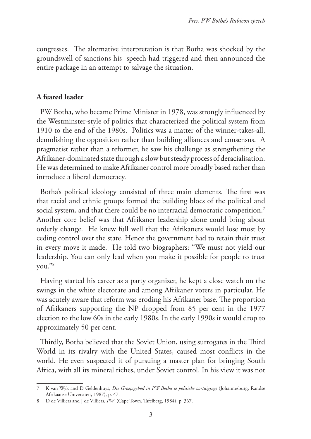congresses. The alternative interpretation is that Botha was shocked by the groundswell of sanctions his speech had triggered and then announced the entire package in an attempt to salvage the situation.

# **A feared leader**

PW Botha, who became Prime Minister in 1978, was strongly influenced by the Westminster-style of politics that characterized the political system from 1910 to the end of the 1980s. Politics was a matter of the winner-takes-all, demolishing the opposition rather than building alliances and consensus. A pragmatist rather than a reformer, he saw his challenge as strengthening the Afrikaner-dominated state through a slow but steady process of deracialisation. He was determined to make Afrikaner control more broadly based rather than introduce a liberal democracy.

Botha's political ideology consisted of three main elements. The first was that racial and ethnic groups formed the building blocs of the political and social system, and that there could be no interracial democratic competition.<sup>7</sup> Another core belief was that Afrikaner leadership alone could bring about orderly change. He knew full well that the Afrikaners would lose most by ceding control over the state. Hence the government had to retain their trust in every move it made. He told two biographers: "We must not yield our leadership. You can only lead when you make it possible for people to trust you."8

Having started his career as a party organizer, he kept a close watch on the swings in the white electorate and among Afrikaner voters in particular. He was acutely aware that reform was eroding his Afrikaner base. The proportion of Afrikaners supporting the NP dropped from 85 per cent in the 1977 election to the low 60s in the early 1980s. In the early 1990s it would drop to approximately 50 per cent.

Thirdly, Botha believed that the Soviet Union, using surrogates in the Third World in its rivalry with the United States, caused most conflicts in the world. He even suspected it of pursuing a master plan for bringing South Africa, with all its mineral riches, under Soviet control. In his view it was not

<sup>7</sup> K van Wyk and D Geldenhuys, *Die Groepsgebod in PW Botha se politieke oortuigings* (Johannesburg, Randse Afrikaanse Universiteit, 1987), p. 47.

<sup>8</sup> D de Villiers and J de Villiers, *PW* (Cape Town, Tafelberg, 1984), p. 367.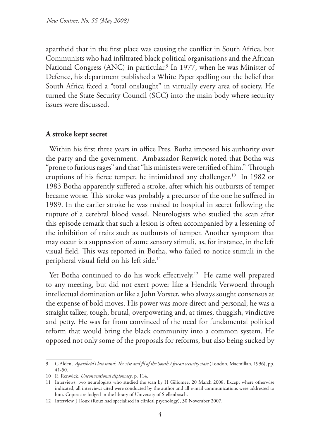apartheid that in the first place was causing the conflict in South Africa, but Communists who had infiltrated black political organisations and the African National Congress (ANC) in particular.<sup>9</sup> In 1977, when he was Minister of Defence, his department published a White Paper spelling out the belief that South Africa faced a "total onslaught" in virtually every area of society. He turned the State Security Council (SCC) into the main body where security issues were discussed.

#### **A stroke kept secret**

Within his first three years in office Pres. Botha imposed his authority over the party and the government. Ambassador Renwick noted that Botha was "prone to furious rages" and that "his ministers were terrified of him." Through eruptions of his fierce temper, he intimidated any challenger.<sup>10</sup> In 1982 or 1983 Botha apparently suffered a stroke, after which his outbursts of temper became worse. This stroke was probably a precursor of the one he suffered in 1989. In the earlier stroke he was rushed to hospital in secret following the rupture of a cerebral blood vessel. Neurologists who studied the scan after this episode remark that such a lesion is often accompanied by a lessening of the inhibition of traits such as outbursts of temper. Another symptom that may occur is a suppression of some sensory stimuli, as, for instance, in the left visual field. This was reported in Botha, who failed to notice stimuli in the peripheral visual field on his left side.<sup>11</sup>

Yet Botha continued to do his work effectively.<sup>12</sup> He came well prepared to any meeting, but did not exert power like a Hendrik Verwoerd through intellectual domination or like a John Vorster, who always sought consensus at the expense of bold moves. His power was more direct and personal; he was a straight talker, tough, brutal, overpowering and, at times, thuggish, vindictive and petty. He was far from convinced of the need for fundamental political reform that would bring the black community into a common system. He opposed not only some of the proposals for reforms, but also being sucked by

<sup>9</sup> C Alden, *Apartheid's last stand: The rise and fll of the South African security state* (London, Macmillan, 1996), pp. 41-50.

<sup>10</sup> R Renwick, *Unconventional diplomacy*, p. 114.

<sup>11</sup> Interviews, two neurologists who studied the scan by H Giliomee, 20 March 2008. Except where otherwise indicated, all interviews cited were conducted by the author and all e-mail communications were addressed to him. Copies are lodged in the library of University of Stellenbosch.

<sup>12</sup> Interview, J Roux (Roux had specialised in clinical psychology), 30 November 2007.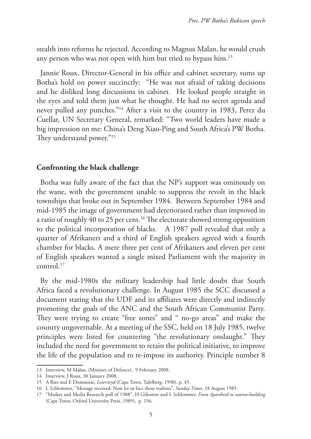stealth into reforms he rejected. According to Magnus Malan, he would crush any person who was not open with him but tried to bypass him.<sup>13</sup>

Jannie Roux, Director-General in his office and cabinet secretary, sums up Botha's hold on power succinctly: "He was not afraid of taking decisions and he disliked long discussions in cabinet. He looked people straight in the eyes and told them just what he thought. He had no secret agenda and never pulled any punches."14 After a visit to the country in 1983, Perez du Cuellar, UN Secretary General, remarked: "Two world leaders have made a big impression on me: China's Deng Xiao-Ping and South Africa's PW Botha. They understand power."15

#### **Confronting the black challenge**

Botha was fully aware of the fact that the NP's support was ominously on the wane, with the government unable to suppress the revolt in the black townships that broke out in September 1984. Between September 1984 and mid-1985 the image of government had deteriorated rather than improved in a ratio of roughly 40 to 25 per cent.<sup>16</sup> The electorate showed strong opposition to the political incorporation of blacks. A 1987 poll revealed that only a quarter of Afrikaners and a third of English speakers agreed with a fourth chamber for blacks. A mere three per cent of Afrikaners and eleven per cent of English speakers wanted a single mixed Parliament with the majority in control.17

By the mid-1980s the military leadership had little doubt that South Africa faced a revolutionary challenge. In August 1985 the SCC discussed a document stating that the UDF and its affiliates were directly and indirectly promoting the goals of the ANC and the South African Communist Party. They were trying to create "free zones" and " no-go areas" and make the country ungovernable. At a meeting of the SSC, held on 18 July 1985, twelve principles were listed for countering "the revolutionary onslaught." They included the need for government to retain the political initiative, to improve the life of the population and to re-impose its authority. Principle number 8

<sup>13</sup> Interview, M Malan, (Minister of Defence), 9 February 2008.

<sup>14</sup> Interview, J Roux, 30 January 2008.

<sup>15</sup> A Ries and E Dommisse, *Leierstryd* (Cape Town, Tafelberg, 1990), p. 45.

<sup>16</sup> L Schlemmer, "Message received: Now let us face these realities", *Sunday Times*, 18 August 1985.

<sup>17</sup> "Market and Media Research poll of 1988", H Giliomee and L Schlemmer, *From Apartheid to nation-building* (Cape Town, Oxford University Press, 1989), p. 156.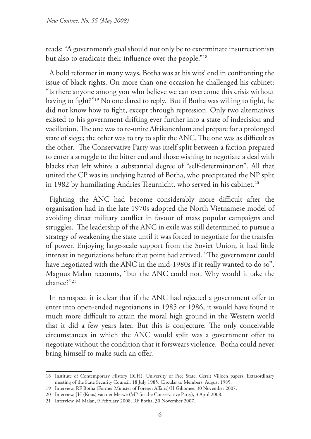reads: "A government's goal should not only be to exterminate insurrectionists but also to eradicate their influence over the people."18

A bold reformer in many ways, Botha was at his wits' end in confronting the issue of black rights. On more than one occasion he challenged his cabinet: "Is there anyone among you who believe we can overcome this crisis without having to fight?"<sup>19</sup> No one dared to reply. But if Botha was willing to fight, he did not know how to fight, except through repression. Only two alternatives existed to his government drifting ever further into a state of indecision and vacillation. The one was to re-unite Afrikanerdom and prepare for a prolonged state of siege; the other was to try to split the ANC. The one was as difficult as the other. The Conservative Party was itself split between a faction prepared to enter a struggle to the bitter end and those wishing to negotiate a deal with blacks that left whites a substantial degree of "self-determination". All that united the CP was its undying hatred of Botha, who precipitated the NP split in 1982 by humiliating Andries Treurnicht, who served in his cabinet.<sup>20</sup>

Fighting the ANC had become considerably more difficult after the organisation had in the late 1970s adopted the North Vietnamese model of avoiding direct military conflict in favour of mass popular campaigns and struggles. The leadership of the ANC in exile was still determined to pursue a strategy of weakening the state until it was forced to negotiate for the transfer of power. Enjoying large-scale support from the Soviet Union, it had little interest in negotiations before that point had arrived. "The government could have negotiated with the ANC in the mid-1980s if it really wanted to do so", Magnus Malan recounts, "but the ANC could not. Why would it take the chance?"21

In retrospect it is clear that if the ANC had rejected a government offer to enter into open-ended negotiations in 1985 or 1986, it would have found it much more difficult to attain the moral high ground in the Western world that it did a few years later. But this is conjecture. The only conceivable circumstances in which the ANC would split was a government offer to negotiate without the condition that it forswears violence. Botha could never bring himself to make such an offer.

<sup>18</sup> Institute of Contemporary History (ICH), University of Free State, Gerrit Viljoen papers, Extraordinary meeting of the State Security Council, 18 July 1985; Circular to Members, August 1985.

<sup>19</sup> Interview, RF Botha (Former Minister of Foreign Affairs)/H Giliomee, 30 November 2007.

<sup>20</sup> Interview, JH (Koos) van der Merwe (MP for the Conservative Party), 3 April 2008.

<sup>21</sup> Interview, M Malan, 9 February 2008; RF Botha, 30 November 2007.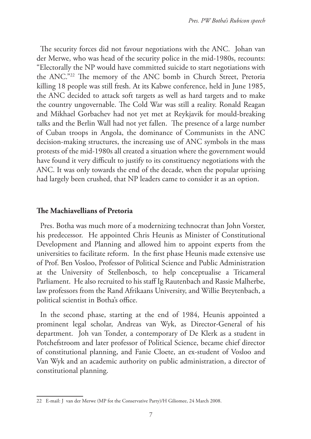The security forces did not favour negotiations with the ANC. Johan van der Merwe, who was head of the security police in the mid-1980s, recounts: "Electorally the NP would have committed suicide to start negotiations with the ANC."22 The memory of the ANC bomb in Church Street, Pretoria killing 18 people was still fresh. At its Kabwe conference, held in June 1985, the ANC decided to attack soft targets as well as hard targets and to make the country ungovernable. The Cold War was still a reality. Ronald Reagan and Mikhael Gorbachev had not yet met at Reykjavik for mould-breaking talks and the Berlin Wall had not yet fallen. The presence of a large number of Cuban troops in Angola, the dominance of Communists in the ANC decision-making structures, the increasing use of ANC symbols in the mass protests of the mid-1980s all created a situation where the government would have found it very difficult to justify to its constituency negotiations with the ANC. It was only towards the end of the decade, when the popular uprising had largely been crushed, that NP leaders came to consider it as an option.

#### **The Machiavellians of Pretoria**

Pres. Botha was much more of a modernizing technocrat than John Vorster, his predecessor. He appointed Chris Heunis as Minister of Constitutional Development and Planning and allowed him to appoint experts from the universities to facilitate reform. In the first phase Heunis made extensive use of Prof. Ben Vosloo, Professor of Political Science and Public Administration at the University of Stellenbosch, to help conceptualise a Tricameral Parliament. He also recruited to his staff Ig Rautenbach and Rassie Malherbe, law professors from the Rand Afrikaans University, and Willie Breytenbach, a political scientist in Botha's office.

In the second phase, starting at the end of 1984, Heunis appointed a prominent legal scholar, Andreas van Wyk, as Director-General of his department. Joh van Tonder, a contemporary of De Klerk as a student in Potchefstroom and later professor of Political Science, became chief director of constitutional planning, and Fanie Cloete, an ex-student of Vosloo and Van Wyk and an academic authority on public administration, a director of constitutional planning.

<sup>22</sup> E-mail: J van der Merwe (MP fot the Conservative Party)/H Giliomee, 24 March 2008.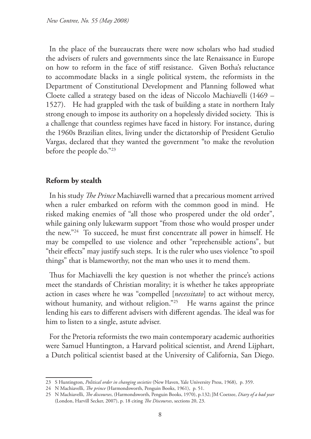In the place of the bureaucrats there were now scholars who had studied the advisers of rulers and governments since the late Renaissance in Europe on how to reform in the face of stiff resistance. Given Botha's reluctance to accommodate blacks in a single political system, the reformists in the Department of Constitutional Development and Planning followed what Cloete called a strategy based on the ideas of Niccolo Machiavelli (1469 – 1527). He had grappled with the task of building a state in northern Italy strong enough to impose its authority on a hopelessly divided society. This is a challenge that countless regimes have faced in history. For instance, during the 1960s Brazilian elites, living under the dictatorship of President Getulio Vargas, declared that they wanted the government "to make the revolution before the people do."23

# **Reform by stealth**

In his study *The Prince* Machiavelli warned that a precarious moment arrived when a ruler embarked on reform with the common good in mind. He risked making enemies of "all those who prospered under the old order", while gaining only lukewarm support "from those who would prosper under the new."24 To succeed, he must first concentrate all power in himself. He may be compelled to use violence and other "reprehensible actions", but "their effects" may justify such steps. It is the ruler who uses violence "to spoil things" that is blameworthy, not the man who uses it to mend them.

Thus for Machiavelli the key question is not whether the prince's actions meet the standards of Christian morality; it is whether he takes appropriate action in cases where he was "compelled [*necessitato*] to act without mercy, without humanity, and without religion."<sup>25</sup> He warns against the prince lending his ears to different advisers with different agendas. The ideal was for him to listen to a single, astute adviser.

For the Pretoria reformists the two main contemporary academic authorities were Samuel Huntington, a Harvard political scientist, and Arend Lijphart, a Dutch political scientist based at the University of California, San Diego.

<sup>23</sup> S Huntington, *Political order in changing societies* (New Haven, Yale University Press, 1968), p. 359.

<sup>24</sup> N Machiavelli, *The prince* (Harmondsworth, Penguin Books, 1961), p. 51.

<sup>25</sup> N Machiavelli, *The discourses*, (Harmondsworth, Penguin Books, 1970), p.132; JM Coetzee, *Diary of a bad year*  (London, Harvill Secker, 2007), p. 18 citing *The Discourses*, sections 20, 23.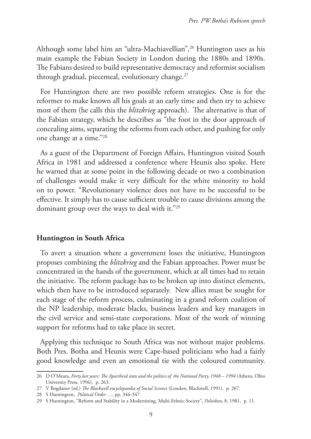Although some label him an "ultra-Machiavellian",<sup>26</sup> Huntington uses as his main example the Fabian Society in London during the 1880s and 1890s. The Fabians desired to build representative democracy and reformist socialism through gradual, piecemeal, evolutionary change. $27$ 

For Huntington there are two possible reform strategies. One is for the reformer to make known all his goals at an early time and then try to achieve most of them (he calls this the *blitzkrieg* approach). The alternative is that of the Fabian strategy, which he describes as "the foot in the door approach of concealing aims, separating the reforms from each other, and pushing for only one change at a time."28

As a guest of the Department of Foreign Affairs, Huntington visited South Africa in 1981 and addressed a conference where Heunis also spoke. Here he warned that at some point in the following decade or two a combination of challenges would make it very difficult for the white minority to hold on to power. "Revolutionary violence does not have to be successful to be effective. It simply has to cause sufficient trouble to cause divisions among the dominant group over the ways to deal with it."29

#### **Huntington in South Africa**

To avert a situation where a government loses the initiative, Huntington proposes combining the *blitzkrieg* and the Fabian approaches. Power must be concentrated in the hands of the government, which at all times had to retain the initiative. The reform package has to be broken up into distinct elements, which then have to be introduced separately. New allies must be sought for each stage of the reform process, culminating in a grand reform coalition of the NP leadership, moderate blacks, business leaders and key managers in the civil service and semi-state corporations. Most of the work of winning support for reforms had to take place in secret.

Applying this technique to South Africa was not without major problems. Both Pres. Botha and Heunis were Cape-based politicians who had a fairly good knowledge and even an emotional tie with the coloured community.

<sup>26</sup> D O'Meara, *Forty lost years: The Apartheid state and the politics of the National Party, 1948 – 1994* (Athens, Ohio University Press, 1996), p. 263.

<sup>27</sup> V Bogdanor (ed.) *The Blackwell encyclopaedia of Social Science* (London, Blackwell, 1991), p. 267.

<sup>28</sup> S Huntington, *Political Order …,* pp. 346-347.

<sup>29</sup> S Huntington, "Reform and Stability in a Modernizing, Multi-Ethnic Society", *Politikon*, 8, 1981, p. 11.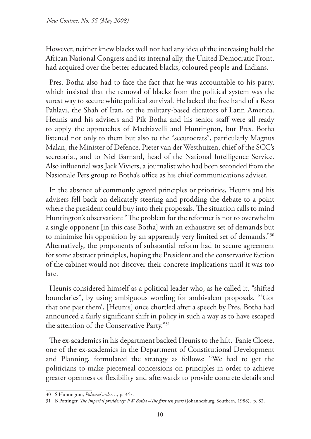However, neither knew blacks well nor had any idea of the increasing hold the African National Congress and its internal ally, the United Democratic Front, had acquired over the better educated blacks, coloured people and Indians.

Pres. Botha also had to face the fact that he was accountable to his party, which insisted that the removal of blacks from the political system was the surest way to secure white political survival. He lacked the free hand of a Reza Pahlavi, the Shah of Iran, or the military-based dictators of Latin America. Heunis and his advisers and Pik Botha and his senior staff were all ready to apply the approaches of Machiavelli and Huntington, but Pres. Botha listened not only to them but also to the "securocrats", particularly Magnus Malan, the Minister of Defence, Pieter van der Westhuizen, chief of the SCC's secretariat, and to Niel Barnard, head of the National Intelligence Service. Also influential was Jack Viviers, a journalist who had been seconded from the Nasionale Pers group to Botha's office as his chief communications adviser.

In the absence of commonly agreed principles or priorities, Heunis and his advisers fell back on delicately steering and prodding the debate to a point where the president could buy into their proposals. The situation calls to mind Huntington's observation: "The problem for the reformer is not to overwhelm a single opponent [in this case Botha] with an exhaustive set of demands but to minimize his opposition by an apparently very limited set of demands."30 Alternatively, the proponents of substantial reform had to secure agreement for some abstract principles, hoping the President and the conservative faction of the cabinet would not discover their concrete implications until it was too late.

Heunis considered himself as a political leader who, as he called it, "shifted boundaries", by using ambiguous wording for ambivalent proposals. "'Got that one past them', [Heunis] once chortled after a speech by Pres. Botha had announced a fairly significant shift in policy in such a way as to have escaped the attention of the Conservative Party."31

The ex-academics in his department backed Heunis to the hilt. Fanie Cloete, one of the ex-academics in the Department of Constitutional Development and Planning, formulated the strategy as follows: "We had to get the politicians to make piecemeal concessions on principles in order to achieve greater openness or flexibility and afterwards to provide concrete details and

<sup>30</sup> S Huntington, *Political order…,* p. 347.

<sup>31</sup> B Pottinger, *The imperial presidency: PW Botha –The first ten years* (Johannesburg, Southern, 1988), p. 82.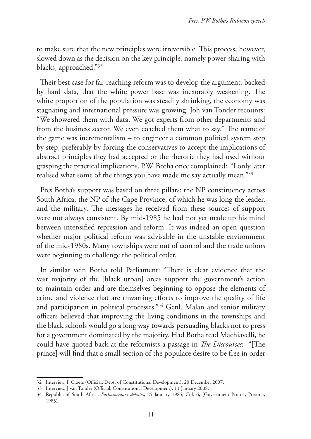to make sure that the new principles were irreversible. This process, however, slowed down as the decision on the key principle, namely power-sharing with blacks, approached."32

Their best case for far-reaching reform was to develop the argument, backed by hard data, that the white power base was inexorably weakening. The white proportion of the population was steadily shrinking, the economy was stagnating and international pressure was growing. Joh van Tonder recounts: "We showered them with data. We got experts from other departments and from the business sector. We even coached them what to say." The name of the game was incrementalism – to engineer a common political system step by step, preferably by forcing the conservatives to accept the implications of abstract principles they had accepted or the rhetoric they had used without grasping the practical implications. P.W. Botha once complained: "I only later realised what some of the things you have made me say actually mean."33

Pres Botha's support was based on three pillars: the NP constituency across South Africa, the NP of the Cape Province, of which he was long the leader, and the military. The messages he received from these sources of support were not always consistent. By mid-1985 he had not yet made up his mind between intensified repression and reform. It was indeed an open question whether major political reform was advisable in the unstable environment of the mid-1980s. Many townships were out of control and the trade unions were beginning to challenge the political order.

In similar vein Botha told Parliament: "There is clear evidence that the vast majority of the [black urban] areas support the government's action to maintain order and are themselves beginning to oppose the elements of crime and violence that are thwarting efforts to improve the quality of life and participation in political processes."34 Genl. Malan and senior military officers believed that improving the living conditions in the townships and the black schools would go a long way towards persuading blacks not to press for a government dominated by the majority. Had Botha read Machiavelli, he could have quoted back at the reformists a passage in *The Discourses*: "[The prince] will find that a small section of the populace desire to be free in order

<sup>32</sup> Interview, F Cloete (Official, Dept. of Constitutional Development), 20 December 2007.

<sup>33</sup> Interview, J van Tonder (Official, Constitutional Development), 11 January 2008.

<sup>34</sup> Republic of South Africa, *Parliamentary debates*, 25 January 1985, Col. 6, (Government Printer, Pretoria, 1985).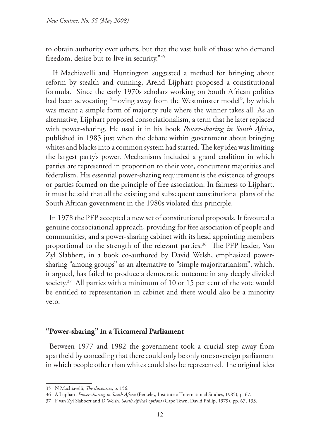to obtain authority over others, but that the vast bulk of those who demand freedom, desire but to live in security."35

 If Machiavelli and Huntington suggested a method for bringing about reform by stealth and cunning, Arend Lijphart proposed a constitutional formula. Since the early 1970s scholars working on South African politics had been advocating "moving away from the Westminster model", by which was meant a simple form of majority rule where the winner takes all. As an alternative, Lijphart proposed consociationalism, a term that he later replaced with power-sharing. He used it in his book *Power-sharing in South Africa*, published in 1985 just when the debate within government about bringing whites and blacks into a common system had started. The key idea was limiting the largest party's power. Mechanisms included a grand coalition in which parties are represented in proportion to their vote, concurrent majorities and federalism. His essential power-sharing requirement is the existence of groups or parties formed on the principle of free association. In fairness to Lijphart, it must be said that all the existing and subsequent constitutional plans of the South African government in the 1980s violated this principle.

In 1978 the PFP accepted a new set of constitutional proposals. It favoured a genuine consociational approach, providing for free association of people and communities, and a power-sharing cabinet with its head appointing members proportional to the strength of the relevant parties.<sup>36</sup> The PFP leader, Van Zyl Slabbert, in a book co-authored by David Welsh, emphasized powersharing "among groups" as an alternative to "simple majoritarianism", which, it argued, has failed to produce a democratic outcome in any deeply divided society. $37$  All parties with a minimum of 10 or 15 per cent of the vote would be entitled to representation in cabinet and there would also be a minority veto.

# **"Power-sharing" in a Tricameral Parliament**

Between 1977 and 1982 the government took a crucial step away from apartheid by conceding that there could only be only one sovereign parliament in which people other than whites could also be represented. The original idea

<sup>35</sup> N Machiavelli, *The discourses*, p. 156.

<sup>36</sup> A Lijphart, *Power-sharing in South Africa* (Berkeley, Institute of International Studies, 1985), p. 67.

<sup>37</sup> F van Zyl Slabbert and D Welsh, *South Africa's options* (Cape Town, David Philip, 1979), pp. 67, 133.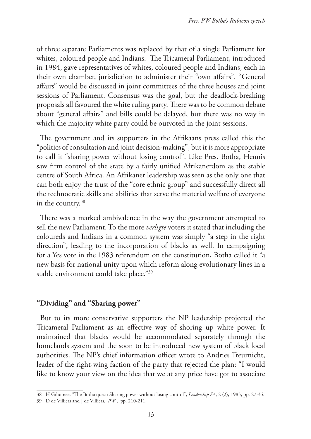of three separate Parliaments was replaced by that of a single Parliament for whites, coloured people and Indians. The Tricameral Parliament, introduced in 1984, gave representatives of whites, coloured people and Indians, each in their own chamber, jurisdiction to administer their "own affairs". "General affairs" would be discussed in joint committees of the three houses and joint sessions of Parliament. Consensus was the goal, but the deadlock-breaking proposals all favoured the white ruling party. There was to be common debate about "general affairs" and bills could be delayed, but there was no way in which the majority white party could be outvoted in the joint sessions.

The government and its supporters in the Afrikaans press called this the "politics of consultation and joint decision-making", but it is more appropriate to call it "sharing power without losing control". Like Pres. Botha, Heunis saw firm control of the state by a fairly unified Afrikanerdom as the stable centre of South Africa. An Afrikaner leadership was seen as the only one that can both enjoy the trust of the "core ethnic group" and successfully direct all the technocratic skills and abilities that serve the material welfare of everyone in the country.38

There was a marked ambivalence in the way the government attempted to sell the new Parliament. To the more *verligte* voters it stated that including the coloureds and Indians in a common system was simply "a step in the right direction", leading to the incorporation of blacks as well. In campaigning for a Yes vote in the 1983 referendum on the constitution, Botha called it "a new basis for national unity upon which reform along evolutionary lines in a stable environment could take place."39

# **"Dividing" and "Sharing power"**

But to its more conservative supporters the NP leadership projected the Tricameral Parliament as an effective way of shoring up white power. It maintained that blacks would be accommodated separately through the homelands system and the soon to be introduced new system of black local authorities. The NP's chief information officer wrote to Andries Treurnicht, leader of the right-wing faction of the party that rejected the plan: "I would like to know your view on the idea that we at any price have got to associate

<sup>38</sup> H Giliomee, "The Botha quest: Sharing power without losing control", *Leadership SA*, 2 (2), 1983, pp. 27-35.

<sup>39</sup> D de Villiers and J de Villiers, *PW* , pp. 210-211.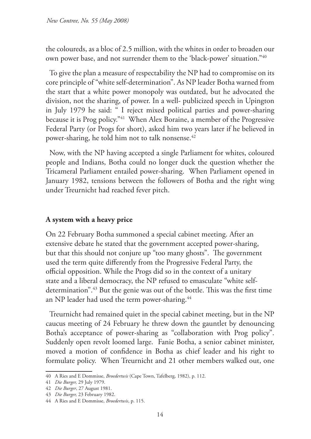the coloureds, as a bloc of 2.5 million, with the whites in order to broaden our own power base, and not surrender them to the 'black-power' situation."40

To give the plan a measure of respectability the NP had to compromise on its core principle of "white self-determination". As NP leader Botha warned from the start that a white power monopoly was outdated, but he advocated the division, not the sharing, of power. In a well- publicized speech in Upington in July 1979 he said: " I reject mixed political parties and power-sharing because it is Prog policy."41 When Alex Boraine, a member of the Progressive Federal Party (or Progs for short), asked him two years later if he believed in power-sharing, he told him not to talk nonsense.42

Now, with the NP having accepted a single Parliament for whites, coloured people and Indians, Botha could no longer duck the question whether the Tricameral Parliament entailed power-sharing. When Parliament opened in January 1982, tensions between the followers of Botha and the right wing under Treurnicht had reached fever pitch.

# **A system with a heavy price**

On 22 February Botha summoned a special cabinet meeting. After an extensive debate he stated that the government accepted power-sharing, but that this should not conjure up "too many ghosts". The government used the term quite differently from the Progressive Federal Party, the official opposition. While the Progs did so in the context of a unitary state and a liberal democracy, the NP refused to emasculate "white selfdetermination".<sup>43</sup> But the genie was out of the bottle. This was the first time an NP leader had used the term power-sharing.<sup>44</sup>

Treurnicht had remained quiet in the special cabinet meeting, but in the NP caucus meeting of 24 February he threw down the gauntlet by denouncing Botha's acceptance of power-sharing as "collaboration with Prog policy". Suddenly open revolt loomed large. Fanie Botha, a senior cabinet minister, moved a motion of confidence in Botha as chief leader and his right to formulate policy. When Treurnicht and 21 other members walked out, one

<sup>40</sup> A Ries and E Dommisse, *Broedertwis* (Cape Town, Tafelberg, 1982), p. 112.

<sup>41</sup> *Die Burger,* 29 July 1979.

<sup>42</sup> *Die Burger*, 27 August 1981.

<sup>43</sup> *Die Burger,* 23 February 1982.

<sup>44</sup> A Ries and E Dommisse, *Broedertwis*, p. 115.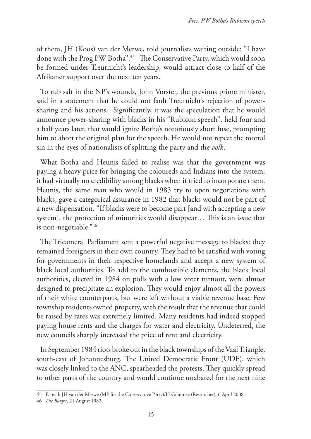of them, JH (Koos) van der Merwe, told journalists waiting outside: "I have done with the Prog PW Botha".45 The Conservative Party, which would soon be formed under Treurnicht's leadership, would attract close to half of the Afrikaner support over the next ten years.

To rub salt in the NP's wounds, John Vorster, the previous prime minister, said in a statement that he could not fault Treurnicht's rejection of powersharing and his actions. Significantly, it was the speculation that he would announce power-sharing with blacks in his "Rubicon speech", held four and a half years later, that would ignite Botha's notoriously short fuse, prompting him to abort the original plan for the speech. He would not repeat the mortal sin in the eyes of nationalists of splitting the party and the *volk*.

What Botha and Heunis failed to realise was that the government was paying a heavy price for bringing the coloureds and Indians into the system: it had virtually no credibility among blacks when it tried to incorporate them. Heunis, the same man who would in 1985 try to open negotiations with blacks, gave a categorical assurance in 1982 that blacks would not be part of a new dispensation. "If blacks were to become part [and with accepting a new system], the protection of minorities would disappear… This is an issue that is non-negotiable."46

The Tricameral Parliament sent a powerful negative message to blacks: they remained foreigners in their own country. They had to be satisfied with voting for governments in their respective homelands and accept a new system of black local authorities. To add to the combustible elements, the black local authorities, elected in 1984 on polls with a low voter turnout, were almost designed to precipitate an explosion. They would enjoy almost all the powers of their white counterparts, but were left without a viable revenue base. Few township residents owned property, with the result that the revenue that could be raised by rates was extremely limited. Many residents had indeed stopped paying house rents and the charges for water and electricity. Undeterred, the new councils sharply increased the price of rent and electricity.

In September 1984 riots broke out in the black townships of the Vaal Triangle, south-east of Johannesburg. The United Democratic Front (UDF), which was closely linked to the ANC, spearheaded the protests. They quickly spread to other parts of the country and would continue unabated for the next nine

<sup>45</sup> E-mail: JH van der Merwe (MP for the Conservative Party)/H Giliomee (Researcher), 6 April 2008.

<sup>46</sup> *Die Burger*, 21 August 1982.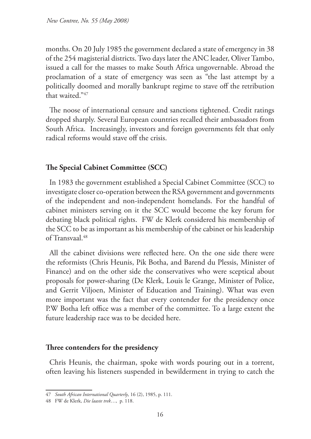months. On 20 July 1985 the government declared a state of emergency in 38 of the 254 magisterial districts. Two days later the ANC leader, Oliver Tambo, issued a call for the masses to make South Africa ungovernable. Abroad the proclamation of a state of emergency was seen as "the last attempt by a politically doomed and morally bankrupt regime to stave off the retribution that waited."47

The noose of international censure and sanctions tightened. Credit ratings dropped sharply. Several European countries recalled their ambassadors from South Africa. Increasingly, investors and foreign governments felt that only radical reforms would stave off the crisis.

# **The Special Cabinet Committee (SCC)**

In 1983 the government established a Special Cabinet Committee (SCC) to investigate closer co-operation between the RSA government and governments of the independent and non-independent homelands. For the handful of cabinet ministers serving on it the SCC would become the key forum for debating black political rights. FW de Klerk considered his membership of the SCC to be as important as his membership of the cabinet or his leadership of Transvaal.48

All the cabinet divisions were reflected here. On the one side there were the reformists (Chris Heunis, Pik Botha, and Barend du Plessis, Minister of Finance) and on the other side the conservatives who were sceptical about proposals for power-sharing (De Klerk, Louis le Grange, Minister of Police, and Gerrit Viljoen, Minister of Education and Training). What was even more important was the fact that every contender for the presidency once P.W Botha left office was a member of the committee. To a large extent the future leadership race was to be decided here.

# **Three contenders for the presidency**

Chris Heunis, the chairman, spoke with words pouring out in a torrent, often leaving his listeners suspended in bewilderment in trying to catch the

<sup>47</sup> *South African International Quarterly*, 16 (2), 1985, p. 111.

<sup>48</sup> FW de Klerk, *Die laaste trek*…,p. 118.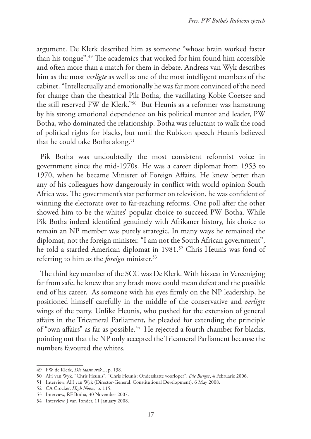argument. De Klerk described him as someone "whose brain worked faster than his tongue".49 The academics that worked for him found him accessible and often more than a match for them in debate. Andreas van Wyk describes him as the most *verligte* as well as one of the most intelligent members of the cabinet. "Intellectually and emotionally he was far more convinced of the need for change than the theatrical Pik Botha, the vacillating Kobie Coetsee and the still reserved FW de Klerk."50 But Heunis as a reformer was hamstrung by his strong emotional dependence on his political mentor and leader, PW Botha, who dominated the relationship. Botha was reluctant to walk the road of political rights for blacks, but until the Rubicon speech Heunis believed that he could take Botha along.<sup>51</sup>

Pik Botha was undoubtedly the most consistent reformist voice in government since the mid-1970s. He was a career diplomat from 1953 to 1970, when he became Minister of Foreign Affairs. He knew better than any of his colleagues how dangerously in conflict with world opinion South Africa was. The government's star performer on television, he was confident of winning the electorate over to far-reaching reforms. One poll after the other showed him to be the whites' popular choice to succeed PW Botha. While Pik Botha indeed identified genuinely with Afrikaner history, his choice to remain an NP member was purely strategic. In many ways he remained the diplomat, not the foreign minister. "I am not the South African government", he told a startled American diplomat in 1981.<sup>52</sup> Chris Heunis was fond of referring to him as the *foreign* minister.53

The third key member of the SCC was De Klerk. With his seat in Vereeniging far from safe, he knew that any brash move could mean defeat and the possible end of his career. As someone with his eyes firmly on the NP leadership, he positioned himself carefully in the middle of the conservative and *verligte*  wings of the party. Unlike Heunis, who pushed for the extension of general affairs in the Tricameral Parliament, he pleaded for extending the principle of "own affairs" as far as possible.<sup>54</sup> He rejected a fourth chamber for blacks, pointing out that the NP only accepted the Tricameral Parliament because the numbers favoured the whites.

<sup>49</sup> FW de Klerk, *Die laaste trek*..., p. 138*.*

<sup>50</sup> AH van Wyk, "Chris Heunis", "Chris Heunis: Onderskatte voorloper", *Die Burger*, 4 Februarie 2006.

<sup>51</sup> Interview, AH van Wyk (Director-General, Constitutional Development), 6 May 2008.

<sup>52</sup> CA Crocker, *High Noon*, p. 115.

<sup>53</sup> Interview, RF Botha, 30 November 2007.

<sup>54</sup> Interview, J van Tonder, 11 January 2008.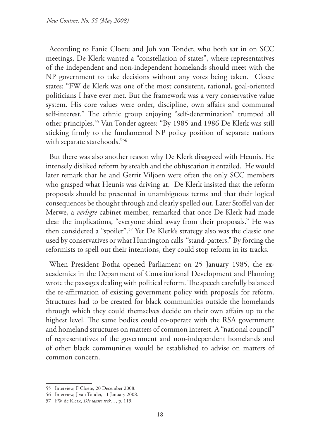According to Fanie Cloete and Joh van Tonder, who both sat in on SCC meetings, De Klerk wanted a "constellation of states", where representatives of the independent and non-independent homelands should meet with the NP government to take decisions without any votes being taken. Cloete states: "FW de Klerk was one of the most consistent, rational, goal-oriented politicians I have ever met. But the framework was a very conservative value system. His core values were order, discipline, own affairs and communal self-interest." The ethnic group enjoying "self-determination" trumped all other principles.55 Van Tonder agrees: "By 1985 and 1986 De Klerk was still sticking firmly to the fundamental NP policy position of separate nations with separate statehoods."56

But there was also another reason why De Klerk disagreed with Heunis. He intensely disliked reform by stealth and the obfuscation it entailed. He would later remark that he and Gerrit Viljoen were often the only SCC members who grasped what Heunis was driving at. De Klerk insisted that the reform proposals should be presented in unambiguous terms and that their logical consequences be thought through and clearly spelled out. Later Stoffel van der Merwe, a *verligte* cabinet member, remarked that once De Klerk had made clear the implications, "everyone shied away from their proposals." He was then considered a "spoiler".57 Yet De Klerk's strategy also was the classic one used by conservatives or what Huntington calls "stand-patters." By forcing the reformists to spell out their intentions, they could stop reform in its tracks.

When President Botha opened Parliament on 25 January 1985, the exacademics in the Department of Constitutional Development and Planning wrote the passages dealing with political reform. The speech carefully balanced the re-affirmation of existing government policy with proposals for reform. Structures had to be created for black communities outside the homelands through which they could themselves decide on their own affairs up to the highest level. The same bodies could co-operate with the RSA government and homeland structures on matters of common interest. A "national council" of representatives of the government and non-independent homelands and of other black communities would be established to advise on matters of common concern.

<sup>55</sup> Interview, F Cloete, 20 December 2008.

<sup>56</sup> Interview, J van Tonder, 11 January 2008.

<sup>57</sup> FW de Klerk, *Die laaste trek…*, p. 119.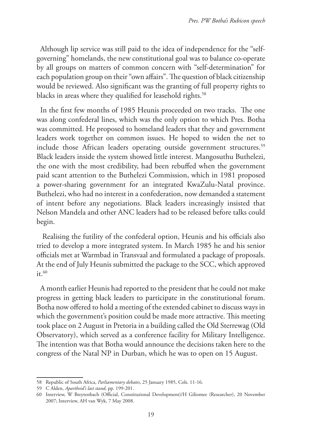Although lip service was still paid to the idea of independence for the "selfgoverning" homelands, the new constitutional goal was to balance co-operate by all groups on matters of common concern with "self-determination" for each population group on their "own affairs". The question of black citizenship would be reviewed. Also significant was the granting of full property rights to blacks in areas where they qualified for leasehold rights.<sup>58</sup>

In the first few months of 1985 Heunis proceeded on two tracks. The one was along confederal lines, which was the only option to which Pres. Botha was committed. He proposed to homeland leaders that they and government leaders work together on common issues. He hoped to widen the net to include those African leaders operating outside government structures.<sup>59</sup> Black leaders inside the system showed little interest. Mangosuthu Buthelezi, the one with the most credibility, had been rebuffed when the government paid scant attention to the Buthelezi Commission, which in 1981 proposed a power-sharing government for an integrated KwaZulu-Natal province. Buthelezi, who had no interest in a confederation, now demanded a statement of intent before any negotiations. Black leaders increasingly insisted that Nelson Mandela and other ANC leaders had to be released before talks could begin.

 Realising the futility of the confederal option, Heunis and his officials also tried to develop a more integrated system. In March 1985 he and his senior officials met at Warmbad in Transvaal and formulated a package of proposals. At the end of July Heunis submitted the package to the SCC, which approved  $it.60$ 

A month earlier Heunis had reported to the president that he could not make progress in getting black leaders to participate in the constitutional forum. Botha now offered to hold a meeting of the extended cabinet to discuss ways in which the government's position could be made more attractive. This meeting took place on 2 August in Pretoria in a building called the Old Sterrewag (Old Observatory), which served as a conference facility for Military Intelligence. The intention was that Botha would announce the decisions taken here to the congress of the Natal NP in Durban, which he was to open on 15 August.

<sup>58</sup> Republic of South Africa, *Parliamentary debates*, 25 January 1985, Cols. 11-16.

<sup>59</sup> C Alden, *Apartheid's last stand*, pp. 199-201.

<sup>60</sup> Interview, W Breytenbach (Official, Constitutional Development)/H Giliomee (Researcher), 20 November 2007; Interview, AH van Wyk, 7 May 2008.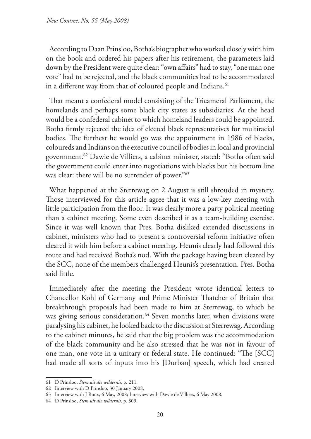According to Daan Prinsloo, Botha's biographer who worked closely with him on the book and ordered his papers after his retirement, the parameters laid down by the President were quite clear: "own affairs" had to stay, "one man one vote" had to be rejected, and the black communities had to be accommodated in a different way from that of coloured people and Indians.<sup>61</sup>

That meant a confederal model consisting of the Tricameral Parliament, the homelands and perhaps some black city states as subsidiaries. At the head would be a confederal cabinet to which homeland leaders could be appointed. Botha firmly rejected the idea of elected black representatives for multiracial bodies. The furthest he would go was the appointment in 1986 of blacks, coloureds and Indians on the executive council of bodies in local and provincial government.62 Dawie de Villiers, a cabinet minister, stated: "Botha often said the government could enter into negotiations with blacks but his bottom line was clear: there will be no surrender of power."63

What happened at the Sterrewag on 2 August is still shrouded in mystery. Those interviewed for this article agree that it was a low-key meeting with little participation from the floor. It was clearly more a party political meeting than a cabinet meeting. Some even described it as a team-building exercise. Since it was well known that Pres. Botha disliked extended discussions in cabinet, ministers who had to present a controversial reform initiative often cleared it with him before a cabinet meeting. Heunis clearly had followed this route and had received Botha's nod. With the package having been cleared by the SCC, none of the members challenged Heunis's presentation. Pres. Botha said little.

Immediately after the meeting the President wrote identical letters to Chancellor Kohl of Germany and Prime Minister Thatcher of Britain that breakthrough proposals had been made to him at Sterrewag, to which he was giving serious consideration.<sup>64</sup> Seven months later, when divisions were paralysing his cabinet, he looked back to the discussion at Sterrewag. According to the cabinet minutes, he said that the big problem was the accommodation of the black community and he also stressed that he was not in favour of one man, one vote in a unitary or federal state. He continued: "The [SCC] had made all sorts of inputs into his [Durban] speech, which had created

<sup>61</sup> D Prinsloo, *Stem uit die wildernis*, p. 211.

<sup>62</sup> Interview with D Prinsloo, 30 January 2008.

<sup>63</sup> Interview with J Roux, 6 May, 2008; Interview with Dawie de Villiers, 6 May 2008.

<sup>64</sup> D Prinsloo, *Stem uit die wlldernis,* p. 309.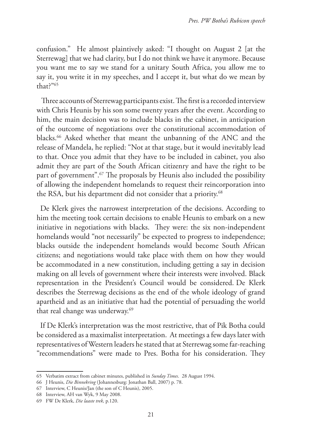confusion." He almost plaintively asked: "I thought on August 2 [at the Sterrewag] that we had clarity, but I do not think we have it anymore. Because you want me to say we stand for a unitary South Africa, you allow me to say it, you write it in my speeches, and I accept it, but what do we mean by that?"65

 Three accounts of Sterrewag participants exist. The first is a recorded interview with Chris Heunis by his son some twenty years after the event. According to him, the main decision was to include blacks in the cabinet, in anticipation of the outcome of negotiations over the constitutional accommodation of blacks.66 Asked whether that meant the unbanning of the ANC and the release of Mandela, he replied: "Not at that stage, but it would inevitably lead to that. Once you admit that they have to be included in cabinet, you also admit they are part of the South African citizenry and have the right to be part of government".<sup>67</sup> The proposals by Heunis also included the possibility of allowing the independent homelands to request their reincorporation into the RSA, but his department did not consider that a priority.<sup>68</sup>

De Klerk gives the narrowest interpretation of the decisions. According to him the meeting took certain decisions to enable Heunis to embark on a new initiative in negotiations with blacks. They were: the six non-independent homelands would "not necessarily" be expected to progress to independence; blacks outside the independent homelands would become South African citizens; and negotiations would take place with them on how they would be accommodated in a new constitution, including getting a say in decision making on all levels of government where their interests were involved. Black representation in the President's Council would be considered. De Klerk describes the Sterrewag decisions as the end of the whole ideology of grand apartheid and as an initiative that had the potential of persuading the world that real change was underway.<sup>69</sup>

If De Klerk's interpretation was the most restrictive, that of Pik Botha could be considered as a maximalist interpretation. At meetings a few days later with representatives of Western leaders he stated that at Sterrewag some far-reaching "recommendations" were made to Pres. Botha for his consideration. They

<sup>65</sup> Verbatim extract from cabinet minutes, published in *Sunday Times*. 28 August 1994.

<sup>66</sup> J Heunis, *Die Binnekring* (Johannesburg: Jonathan Ball, 2007) p. 78.

<sup>67</sup> Interview, C Heunis/Jan (the son of C Heunis), 2005.

<sup>68</sup> Interview, AH van Wyk, 9 May 2008.

<sup>69</sup> FW De Klerk, *Die laaste trek*, p.120.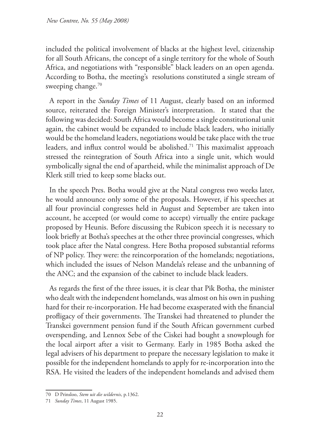included the political involvement of blacks at the highest level, citizenship for all South Africans, the concept of a single territory for the whole of South Africa, and negotiations with "responsible" black leaders on an open agenda. According to Botha, the meeting's resolutions constituted a single stream of sweeping change.<sup>70</sup>

A report in the *Sunday Times* of 11 August, clearly based on an informed source, reiterated the Foreign Minister's interpretation. It stated that the following was decided: South Africa would become a single constitutional unit again, the cabinet would be expanded to include black leaders, who initially would be the homeland leaders, negotiations would be take place with the true leaders, and influx control would be abolished.<sup>71</sup> This maximalist approach stressed the reintegration of South Africa into a single unit, which would symbolically signal the end of apartheid, while the minimalist approach of De Klerk still tried to keep some blacks out.

In the speech Pres. Botha would give at the Natal congress two weeks later, he would announce only some of the proposals. However, if his speeches at all four provincial congresses held in August and September are taken into account, he accepted (or would come to accept) virtually the entire package proposed by Heunis. Before discussing the Rubicon speech it is necessary to look briefly at Botha's speeches at the other three provincial congresses, which took place after the Natal congress. Here Botha proposed substantial reforms of NP policy. They were: the reincorporation of the homelands; negotiations, which included the issues of Nelson Mandela's release and the unbanning of the ANC; and the expansion of the cabinet to include black leaders.

As regards the first of the three issues, it is clear that Pik Botha, the minister who dealt with the independent homelands, was almost on his own in pushing hard for their re-incorporation. He had become exasperated with the financial profligacy of their governments. The Transkei had threatened to plunder the Transkei government pension fund if the South African government curbed overspending, and Lennox Sebe of the Ciskei had bought a snowplough for the local airport after a visit to Germany. Early in 1985 Botha asked the legal advisers of his department to prepare the necessary legislation to make it possible for the independent homelands to apply for re-incorporation into the RSA. He visited the leaders of the independent homelands and advised them

<sup>70</sup> D Prinsloo, *Stem uit die wildernis*, p.1362.

<sup>71</sup> *Sunday Times*, 11 August 1985.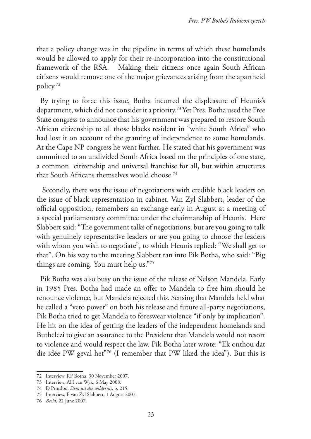that a policy change was in the pipeline in terms of which these homelands would be allowed to apply for their re-incorporation into the constitutional framework of the RSA. Making their citizens once again South African citizens would remove one of the major grievances arising from the apartheid policy.72

By trying to force this issue, Botha incurred the displeasure of Heunis's department, which did not consider it a priority.73 Yet Pres. Botha used the Free State congress to announce that his government was prepared to restore South African citizenship to all those blacks resident in "white South Africa" who had lost it on account of the granting of independence to some homelands. At the Cape NP congress he went further. He stated that his government was committed to an undivided South Africa based on the principles of one state, a common citizenship and universal franchise for all, but within structures that South Africans themselves would choose.74

 Secondly, there was the issue of negotiations with credible black leaders on the issue of black representation in cabinet. Van Zyl Slabbert, leader of the official opposition, remembers an exchange early in August at a meeting of a special parliamentary committee under the chairmanship of Heunis. Here Slabbert said: "The government talks of negotiations, but are you going to talk with genuinely representative leaders or are you going to choose the leaders with whom you wish to negotiate", to which Heunis replied: "We shall get to that". On his way to the meeting Slabbert ran into Pik Botha, who said: "Big things are coming. You must help us."75

Pik Botha was also busy on the issue of the release of Nelson Mandela. Early in 1985 Pres. Botha had made an offer to Mandela to free him should he renounce violence, but Mandela rejected this. Sensing that Mandela held what he called a "veto power" on both his release and future all-party negotiations, Pik Botha tried to get Mandela to foreswear violence "if only by implication". He hit on the idea of getting the leaders of the independent homelands and Buthelezi to give an assurance to the President that Mandela would not resort to violence and would respect the law. Pik Botha later wrote: "Ek onthou dat die idée PW geval het"76 (I remember that PW liked the idea"). But this is

<sup>72</sup> Interview, RF Botha, 30 November 2007.

<sup>73</sup> Interview, AH van Wyk, 6 May 2008.

<sup>74</sup> D Prinsloo, *Stem uit die wildernis*, p. 215.

<sup>75</sup> Interview, F van Zyl Slabbert, 1 August 2007.

<sup>76</sup> *Beeld*, 22 June 2007.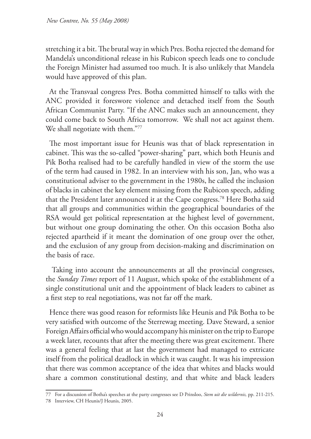stretching it a bit. The brutal way in which Pres. Botha rejected the demand for Mandela's unconditional release in his Rubicon speech leads one to conclude the Foreign Minister had assumed too much. It is also unlikely that Mandela would have approved of this plan.

At the Transvaal congress Pres. Botha committed himself to talks with the ANC provided it foreswore violence and detached itself from the South African Communist Party. "If the ANC makes such an announcement, they could come back to South Africa tomorrow. We shall not act against them. We shall negotiate with them."77

The most important issue for Heunis was that of black representation in cabinet. This was the so-called "power-sharing" part, which both Heunis and Pik Botha realised had to be carefully handled in view of the storm the use of the term had caused in 1982. In an interview with his son, Jan, who was a constitutional adviser to the government in the 1980s, he called the inclusion of blacks in cabinet the key element missing from the Rubicon speech, adding that the President later announced it at the Cape congress.78 Here Botha said that all groups and communities within the geographical boundaries of the RSA would get political representation at the highest level of government, but without one group dominating the other. On this occasion Botha also rejected apartheid if it meant the domination of one group over the other, and the exclusion of any group from decision-making and discrimination on the basis of race.

 Taking into account the announcements at all the provincial congresses, the *Sunday Times* report of 11 August, which spoke of the establishment of a single constitutional unit and the appointment of black leaders to cabinet as a first step to real negotiations, was not far off the mark.

Hence there was good reason for reformists like Heunis and Pik Botha to be very satisfied with outcome of the Sterrewag meeting. Dave Steward, a senior Foreign Affairs official who would accompany his minister on the trip to Europe a week later, recounts that after the meeting there was great excitement. There was a general feeling that at last the government had managed to extricate itself from the political deadlock in which it was caught. It was his impression that there was common acceptance of the idea that whites and blacks would share a common constitutional destiny, and that white and black leaders

<sup>77</sup> For a discussion of Botha's speeches at the party congresses see D Prinsloo, *Stem uit die wildernis,* pp. 211-215.

<sup>78</sup> Interview, CH Heunis/J Heunis, 2005.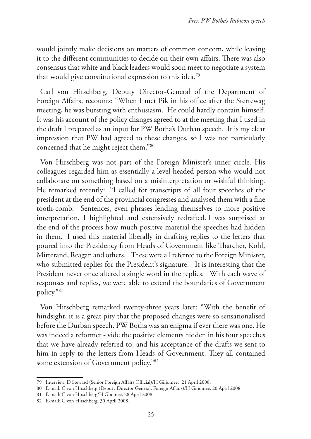would jointly make decisions on matters of common concern, while leaving it to the different communities to decide on their own affairs. There was also consensus that white and black leaders would soon meet to negotiate a system that would give constitutional expression to this idea.79

Carl von Hirschberg, Deputy Director-General of the Department of Foreign Affairs, recounts: "When I met Pik in his office after the Sterrewag meeting, he was bursting with enthusiasm. He could hardly contain himself. It was his account of the policy changes agreed to at the meeting that I used in the draft I prepared as an input for PW Botha's Durban speech. It is my clear impression that PW had agreed to these changes, so I was not particularly concerned that he might reject them."80

Von Hirschberg was not part of the Foreign Minister's inner circle. His colleagues regarded him as essentially a level-headed person who would not collaborate on something based on a misinterpretation or wishful thinking. He remarked recently: "I called for transcripts of all four speeches of the president at the end of the provincial congresses and analysed them with a fine tooth-comb. Sentences, even phrases lending themselves to more positive interpretation, I highlighted and extensively redrafted. I was surprised at the end of the process how much positive material the speeches had hidden in them. I used this material liberally in drafting replies to the letters that poured into the Presidency from Heads of Government like Thatcher, Kohl, Mitterand, Reagan and others. These were all referred to the Foreign Minister, who submitted replies for the President's signature. It is interesting that the President never once altered a single word in the replies. With each wave of responses and replies, we were able to extend the boundaries of Government policy."81

Von Hirschberg remarked twenty-three years later: "With the benefit of hindsight, it is a great pity that the proposed changes were so sensationalised before the Durban speech. PW Botha was an enigma if ever there was one. He was indeed a reformer - vide the positive elements hidden in his four speeches that we have already referred to; and his acceptance of the drafts we sent to him in reply to the letters from Heads of Government. They all contained some extension of Government policy."82

<sup>79</sup> Interview, D Steward (Senior Foreign Affairs Official)/H Giliomee, 21 April 2008.

<sup>80</sup> E-mail: C von Hirschberg (Deputy Director General, Foreign Affairs)/H Giliomee, 20 April 2008.

<sup>81</sup> E-mail: C von Hirschberg/H Gliomee, 28 April 2008.

<sup>82</sup> E-mail: C von Hirschberg, 30 April 2008.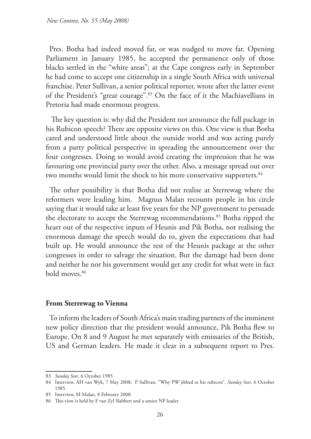Pres. Botha had indeed moved far, or was nudged to move far. Opening Parliament in January 1985, he accepted the permanence only of those blacks settled in the "white areas"; at the Cape congress early in September he had come to accept one citizenship in a single South Africa with universal franchise. Peter Sullivan, a senior political reporter, wrote after the latter event of the President's "great courage".83 On the face of it the Machiavellians in Pretoria had made enormous progress.

 The key question is: why did the President not announce the full package in his Rubicon speech? There are opposite views on this. One view is that Botha cared and understood little about the outside world and was acting purely from a party political perspective in spreading the announcement over the four congresses. Doing so would avoid creating the impression that he was favouring one provincial party over the other. Also, a message spread out over two months would limit the shock to his more conservative supporters.<sup>84</sup>

The other possibility is that Botha did not realise at Sterrewag where the reformers were leading him. Magnus Malan recounts people in his circle saying that it would take at least five years for the NP government to persuade the electorate to accept the Sterrewag recommendations.<sup>85</sup> Botha ripped the heart out of the respective inputs of Heunis and Pik Botha, not realising the enormous damage the speech would do to, given the expectations that had built up. He would announce the rest of the Heunis package at the other congresses in order to salvage the situation. But the damage had been done and neither he nor his government would get any credit for what were in fact bold moves.86

#### **From Sterrewag to Vienna**

To inform the leaders of South Africa's main trading partners of the imminent new policy direction that the president would announce, Pik Botha flew to Europe. On 8 and 9 August he met separately with emissaries of the British, US and German leaders. He made it clear in a subsequent report to Pres.

<sup>83</sup> *Sunday Star*, 6 October 1985.

<sup>84</sup> Interview, AH van Wyk, 7 May 2008; P Sullivan, "Why PW jibbed at his rubicon", *Sunday Star*, 6 October 1985.

<sup>85</sup> Interview, M Malan, 8 February 2008.

<sup>86</sup> This view is held by F van Zyl Slabbert and a senior NP leader.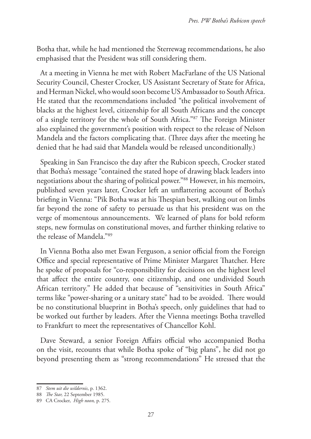Botha that, while he had mentioned the Sterrewag recommendations, he also emphasised that the President was still considering them.

At a meeting in Vienna he met with Robert MacFarlane of the US National Security Council, Chester Crocker, US Assistant Secretary of State for Africa, and Herman Nickel, who would soon become US Ambassador to South Africa. He stated that the recommendations included "the political involvement of blacks at the highest level, citizenship for all South Africans and the concept of a single territory for the whole of South Africa."87 The Foreign Minister also explained the government's position with respect to the release of Nelson Mandela and the factors complicating that. (Three days after the meeting he denied that he had said that Mandela would be released unconditionally.)

Speaking in San Francisco the day after the Rubicon speech, Crocker stated that Botha's message "contained the stated hope of drawing black leaders into negotiations about the sharing of political power."88 However, in his memoirs, published seven years later, Crocker left an unflattering account of Botha's briefing in Vienna: "Pik Botha was at his Thespian best, walking out on limbs far beyond the zone of safety to persuade us that his president was on the verge of momentous announcements. We learned of plans for bold reform steps, new formulas on constitutional moves, and further thinking relative to the release of Mandela."89

In Vienna Botha also met Ewan Ferguson, a senior official from the Foreign Office and special representative of Prime Minister Margaret Thatcher. Here he spoke of proposals for "co-responsibility for decisions on the highest level that affect the entire country, one citizenship, and one undivided South African territory." He added that because of "sensitivities in South Africa" terms like "power-sharing or a unitary state" had to be avoided. There would be no constitutional blueprint in Botha's speech, only guidelines that had to be worked out further by leaders. After the Vienna meetings Botha travelled to Frankfurt to meet the representatives of Chancellor Kohl.

Dave Steward, a senior Foreign Affairs official who accompanied Botha on the visit, recounts that while Botha spoke of "big plans", he did not go beyond presenting them as "strong recommendations" He stressed that the

<sup>87</sup> *Stem uit die wildernis*, p. 1362.

<sup>88</sup> *The Star,* 22 September 1985.

<sup>89</sup> CA Crocker, *High noon,* p. 275.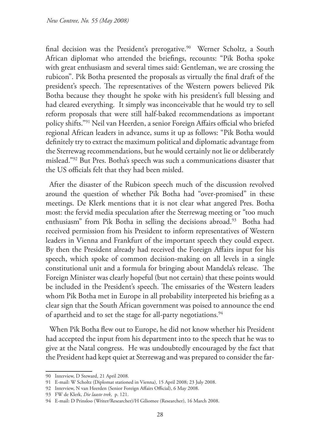final decision was the President's prerogative.<sup>90</sup> Werner Scholtz, a South African diplomat who attended the briefings, recounts: "Pik Botha spoke with great enthusiasm and several times said: Gentleman, we are crossing the rubicon". Pik Botha presented the proposals as virtually the final draft of the president's speech. The representatives of the Western powers believed Pik Botha because they thought he spoke with his president's full blessing and had cleared everything. It simply was inconceivable that he would try to sell reform proposals that were still half-baked recommendations as important policy shifts."91 Neil van Heerden, a senior Foreign Affairs official who briefed regional African leaders in advance, sums it up as follows: "Pik Botha would definitely try to extract the maximum political and diplomatic advantage from the Sterrewag recommendations, but he would certainly not lie or deliberately mislead."92 But Pres. Botha's speech was such a communications disaster that the US officials felt that they had been misled.

After the disaster of the Rubicon speech much of the discussion revolved around the question of whether Pik Botha had "over-promised" in these meetings. De Klerk mentions that it is not clear what angered Pres. Botha most: the fervid media speculation after the Sterrewag meeting or "too much enthusiasm" from Pik Botha in selling the decisions abroad.<sup>93</sup> Botha had received permission from his President to inform representatives of Western leaders in Vienna and Frankfurt of the important speech they could expect. By then the President already had received the Foreign Affairs input for his speech, which spoke of common decision-making on all levels in a single constitutional unit and a formula for bringing about Mandela's release. The Foreign Minister was clearly hopeful (but not certain) that these points would be included in the President's speech. The emissaries of the Western leaders whom Pik Botha met in Europe in all probability interpreted his briefing as a clear sign that the South African government was poised to announce the end of apartheid and to set the stage for all-party negotiations.<sup>94</sup>

When Pik Botha flew out to Europe, he did not know whether his President had accepted the input from his department into to the speech that he was to give at the Natal congress. He was undoubtedly encouraged by the fact that the President had kept quiet at Sterrewag and was prepared to consider the far-

<sup>90</sup> Interview, D Steward, 21 April 2008.

<sup>91</sup> E-mail: W Scholtz (Diplomat stationed in Vienna), 15 April 2008; 23 July 2008.

<sup>92</sup> Interview, N van Heerden (Senior Foreign Affairs Official), 6 May 2008.

<sup>93</sup> FW de Klerk, *Die laaste trek*, p. 121.

<sup>94</sup> E-mail: D Prinsloo (Writer/Researcher)/H Giliomee (Researcher), 16 March 2008.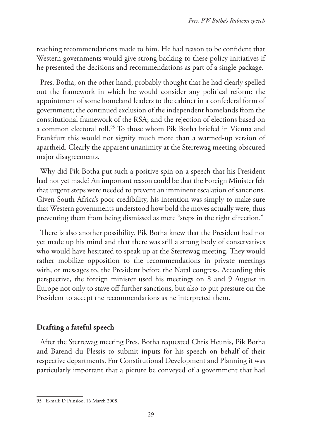reaching recommendations made to him. He had reason to be confident that Western governments would give strong backing to these policy initiatives if he presented the decisions and recommendations as part of a single package.

Pres. Botha, on the other hand, probably thought that he had clearly spelled out the framework in which he would consider any political reform: the appointment of some homeland leaders to the cabinet in a confederal form of government; the continued exclusion of the independent homelands from the constitutional framework of the RSA; and the rejection of elections based on a common electoral roll.95 To those whom Pik Botha briefed in Vienna and Frankfurt this would not signify much more than a warmed-up version of apartheid. Clearly the apparent unanimity at the Sterrewag meeting obscured major disagreements.

Why did Pik Botha put such a positive spin on a speech that his President had not yet made? An important reason could be that the Foreign Minister felt that urgent steps were needed to prevent an imminent escalation of sanctions. Given South Africa's poor credibility, his intention was simply to make sure that Western governments understood how bold the moves actually were, thus preventing them from being dismissed as mere "steps in the right direction."

There is also another possibility. Pik Botha knew that the President had not yet made up his mind and that there was still a strong body of conservatives who would have hesitated to speak up at the Sterrewag meeting. They would rather mobilize opposition to the recommendations in private meetings with, or messages to, the President before the Natal congress. According this perspective, the foreign minister used his meetings on 8 and 9 August in Europe not only to stave off further sanctions, but also to put pressure on the President to accept the recommendations as he interpreted them.

# **Drafting a fateful speech**

After the Sterrewag meeting Pres. Botha requested Chris Heunis, Pik Botha and Barend du Plessis to submit inputs for his speech on behalf of their respective departments. For Constitutional Development and Planning it was particularly important that a picture be conveyed of a government that had

<sup>95</sup> E-mail: D Prinsloo, 16 March 2008.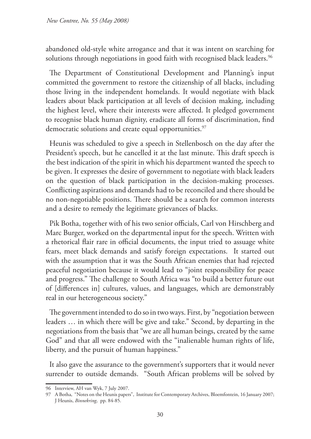abandoned old-style white arrogance and that it was intent on searching for solutions through negotiations in good faith with recognised black leaders.<sup>96</sup>

The Department of Constitutional Development and Planning's input committed the government to restore the citizenship of all blacks, including those living in the independent homelands. It would negotiate with black leaders about black participation at all levels of decision making, including the highest level, where their interests were affected. It pledged government to recognise black human dignity, eradicate all forms of discrimination, find democratic solutions and create equal opportunities.<sup>97</sup>

Heunis was scheduled to give a speech in Stellenbosch on the day after the President's speech, but he cancelled it at the last minute. This draft speech is the best indication of the spirit in which his department wanted the speech to be given. It expresses the desire of government to negotiate with black leaders on the question of black participation in the decision-making processes. Conflicting aspirations and demands had to be reconciled and there should be no non-negotiable positions. There should be a search for common interests and a desire to remedy the legitimate grievances of blacks.

Pik Botha, together with of his two senior officials, Carl von Hirschberg and Marc Burger, worked on the departmental input for the speech. Written with a rhetorical flair rare in official documents, the input tried to assuage white fears, meet black demands and satisfy foreign expectations. It started out with the assumption that it was the South African enemies that had rejected peaceful negotiation because it would lead to "joint responsibility for peace and progress." The challenge to South Africa was "to build a better future out of [differences in] cultures, values, and languages, which are demonstrably real in our heterogeneous society."

The government intended to do so in two ways. First, by "negotiation between leaders … in which there will be give and take." Second, by departing in the negotiations from the basis that "we are all human beings, created by the same God" and that all were endowed with the "inalienable human rights of life, liberty, and the pursuit of human happiness."

It also gave the assurance to the government's supporters that it would never surrender to outside demands. "South African problems will be solved by

<sup>96</sup> Interview, AH van Wyk, 7 July 2007.

<sup>97</sup> A Botha, "Notes on the Heunis papers", Institute for Contemporary Archives, Bloemfontein, 16 January 2007; J Heunis, *Binnekring*, pp. 84-85.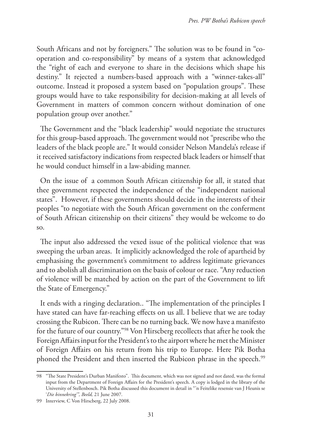South Africans and not by foreigners." The solution was to be found in "cooperation and co-responsibility" by means of a system that acknowledged the "right of each and everyone to share in the decisions which shape his destiny." It rejected a numbers-based approach with a "winner-takes-all" outcome. Instead it proposed a system based on "population groups". These groups would have to take responsibility for decision-making at all levels of Government in matters of common concern without domination of one population group over another."

The Government and the "black leadership" would negotiate the structures for this group-based approach. The government would not "prescribe who the leaders of the black people are." It would consider Nelson Mandela's release if it received satisfactory indications from respected black leaders or himself that he would conduct himself in a law-abiding manner.

On the issue of a common South African citizenship for all, it stated that thee government respected the independence of the "independent national states". However, if these governments should decide in the interests of their peoples "to negotiate with the South African government on the conferment of South African citizenship on their citizens" they would be welcome to do so.

The input also addressed the vexed issue of the political violence that was sweeping the urban areas. It implicitly acknowledged the role of apartheid by emphasising the government's commitment to address legitimate grievances and to abolish all discrimination on the basis of colour or race. "Any reduction of violence will be matched by action on the part of the Government to lift the State of Emergency."

It ends with a ringing declaration.. "The implementation of the principles I have stated can have far-reaching effects on us all. I believe that we are today crossing the Rubicon. There can be no turning back. We now have a manifesto for the future of our country."98 Von Hirscberg recollects that after he took the Foreign Affairs input for the President's to the airport where he met the Minister of Foreign Affairs on his return from his trip to Europe. Here Pik Botha phoned the President and then inserted the Rubicon phrase in the speech.<sup>99</sup>

<sup>98</sup> "The State President's Durban Manifesto". This document, which was not signed and not dated, was the formal input from the Department of Foreign Affairs for the President's speech. A copy is lodged in the library of the University of Stellenbosch. Pik Botha discussed this document in detail in "'n Feitelike resensie van J Heunis se '*Die binnekring'", Beeld,* 21 June 2007.

<sup>99</sup> Interview, C Von Hirscberg, 22 July 2008.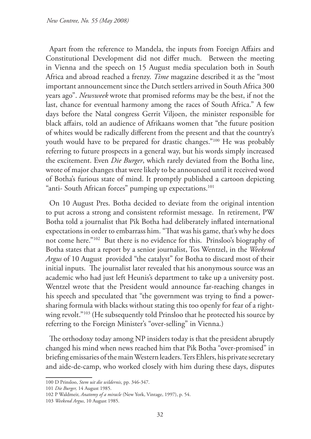Apart from the reference to Mandela, the inputs from Foreign Affairs and Constitutional Development did not differ much. Between the meeting in Vienna and the speech on 15 August media speculation both in South Africa and abroad reached a frenzy. *Time* magazine described it as the "most important announcement since the Dutch settlers arrived in South Africa 300 years ago". *Newsweek* wrote that promised reforms may be the best, if not the last, chance for eventual harmony among the races of South Africa." A few days before the Natal congress Gerrit Viljoen, the minister responsible for black affairs, told an audience of Afrikaans women that "the future position of whites would be radically different from the present and that the country's youth would have to be prepared for drastic changes."100 He was probably referring to future prospects in a general way, but his words simply increased the excitement. Even *Die Burger*, which rarely deviated from the Botha line, wrote of major changes that were likely to be announced until it received word of Botha's furious state of mind. It promptly published a cartoon depicting "anti- South African forces" pumping up expectations.<sup>101</sup>

On 10 August Pres. Botha decided to deviate from the original intention to put across a strong and consistent reformist message. In retirement, PW Botha told a journalist that Pik Botha had deliberately inflated international expectations in order to embarrass him. "That was his game, that's why he does not come here."102 But there is no evidence for this. Prinsloo's biography of Botha states that a report by a senior journalist, Tos Wentzel, in the *Weekend Argus* of 10 August provided "the catalyst" for Botha to discard most of their initial inputs. The journalist later revealed that his anonymous source was an academic who had just left Heunis's department to take up a university post. Wentzel wrote that the President would announce far-reaching changes in his speech and speculated that "the government was trying to find a powersharing formula with blacks without stating this too openly for fear of a rightwing revolt."<sup>103</sup> (He subsequently told Prinsloo that he protected his source by referring to the Foreign Minister's "over-selling" in Vienna.)

The orthodoxy today among NP insiders today is that the president abruptly changed his mind when news reached him that Pik Botha "over-promised" in briefing emissaries of the main Western leaders. Ters Ehlers, his private secretary and aide-de-camp, who worked closely with him during these days, disputes

<sup>100</sup> D Prinsloo, *Stem uit die wildernis*, pp. 346-347.

<sup>101</sup> *Die Burger,* 14 August 1985.

<sup>102</sup> P Waldmeir, *Anatomy of a miracle* (New York, Vintage, 1997), p. 54.

<sup>103</sup> *Weekend Argus*, 10 August 1985.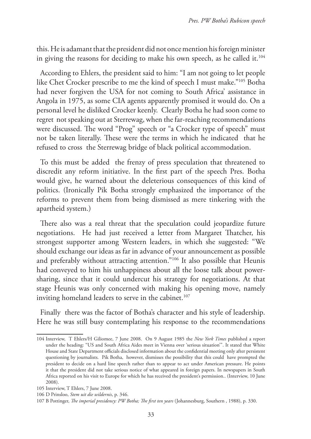this. He is adamant that the president did not once mention his foreign minister in giving the reasons for deciding to make his own speech, as he called it.<sup>104</sup>

According to Ehlers, the president said to him: "I am not going to let people like Chet Crocker prescribe to me the kind of speech I must make."105 Botha had never forgiven the USA for not coming to South Africa' assistance in Angola in 1975, as some CIA agents apparently promised it would do. On a personal level he disliked Crocker keenly. Clearly Botha he had soon come to regret not speaking out at Sterrewag, when the far-reaching recommendations were discussed. The word "Prog" speech or "a Crocker type of speech" must not be taken literally. These were the terms in which he indicated that he refused to cross the Sterrewag bridge of black political accommodation.

To this must be added the frenzy of press speculation that threatened to discredit any reform initiative. In the first part of the speech Pres. Botha would give, he warned about the deleterious consequences of this kind of politics. (Ironically Pik Botha strongly emphasized the importance of the reforms to prevent them from being dismissed as mere tinkering with the apartheid system.)

There also was a real threat that the speculation could jeopardize future negotiations. He had just received a letter from Margaret Thatcher, his strongest supporter among Western leaders, in which she suggested: "We should exchange our ideas as far in advance of your announcement as possible and preferably without attracting attention."106 It also possible that Heunis had conveyed to him his unhappiness about all the loose talk about powersharing, since that it could undercut his strategy for negotiations. At that stage Heunis was only concerned with making his opening move, namely inviting homeland leaders to serve in the cabinet.<sup>107</sup>

Finally there was the factor of Botha's character and his style of leadership. Here he was still busy contemplating his response to the recommendations

<sup>104</sup> Interview, T Ehlers/H Giliomee, 7 June 2008. On 9 August 1985 the *New York Times* published a report under the heading: "US and South Africa Aides meet in Vienna over 'serious situation'". It stated that White House and State Department officials disclosed information about the confidential meeting only after persistent questioning by journalists. Pik Botha, however, dismisses the possibility that this could have prompted the president to decide on a hard line speech rather than to appear to act under American pressure. He points it that the president did not take serious notice of what appeared in foreign papers. In newspapers in South Africa reported on his visit to Europe for which he has received the president's permission.. (Interview, 10 June 2008).

<sup>105</sup> Interview, T Ehlers, 7 June 2008.

<sup>106</sup> D Prinsloo, *Stem uit die wildernis*, p. 346.

<sup>107</sup> B Pottinger, *The imperial presidency: PW Botha; The first ten years* (Johannesburg, Southern , 1988), p. 330.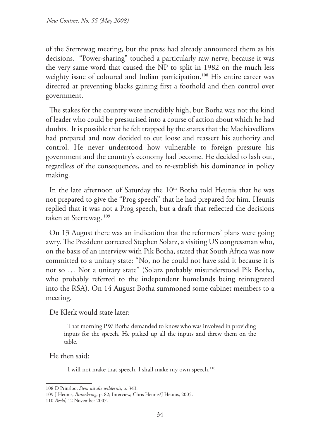of the Sterrewag meeting, but the press had already announced them as his decisions. "Power-sharing" touched a particularly raw nerve, because it was the very same word that caused the NP to split in 1982 on the much less weighty issue of coloured and Indian participation.<sup>108</sup> His entire career was directed at preventing blacks gaining first a foothold and then control over government.

The stakes for the country were incredibly high, but Botha was not the kind of leader who could be pressurised into a course of action about which he had doubts. It is possible that he felt trapped by the snares that the Machiavellians had prepared and now decided to cut loose and reassert his authority and control. He never understood how vulnerable to foreign pressure his government and the country's economy had become. He decided to lash out, regardless of the consequences, and to re-establish his dominance in policy making.

In the late afternoon of Saturday the 10<sup>th</sup> Botha told Heunis that he was not prepared to give the "Prog speech" that he had prepared for him. Heunis replied that it was not a Prog speech, but a draft that reflected the decisions taken at Sterrewag.<sup>109</sup>

On 13 August there was an indication that the reformers' plans were going awry. The President corrected Stephen Solarz, a visiting US congressman who, on the basis of an interview with Pik Botha, stated that South Africa was now committed to a unitary state: "No, no he could not have said it because it is not so … Not a unitary state" (Solarz probably misunderstood Pik Botha, who probably referred to the independent homelands being reintegrated into the RSA). On 14 August Botha summoned some cabinet members to a meeting.

De Klerk would state later:

That morning PW Botha demanded to know who was involved in providing inputs for the speech. He picked up all the inputs and threw them on the table.

He then said:

I will not make that speech. I shall make my own speech.<sup>110</sup>

<sup>108</sup> D Prinsloo, *Stem uit die wildernis*, p. 343.

<sup>109</sup> J Heunis, *Binnekring*, p. 82; Interview, Chris Heunis/J Heunis, 2005.

<sup>110</sup> *Beeld*, 12 November 2007.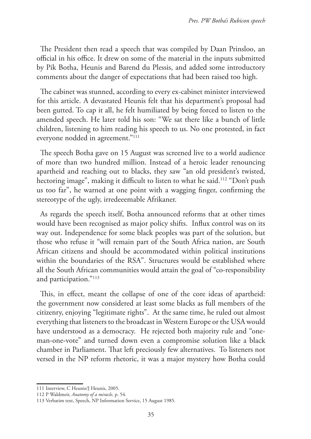The President then read a speech that was compiled by Daan Prinsloo, an official in his office. It drew on some of the material in the inputs submitted by Pik Botha, Heunis and Barend du Plessis, and added some introductory comments about the danger of expectations that had been raised too high.

The cabinet was stunned, according to every ex-cabinet minister interviewed for this article. A devastated Heunis felt that his department's proposal had been gutted. To cap it all, he felt humiliated by being forced to listen to the amended speech. He later told his son: "We sat there like a bunch of little children, listening to him reading his speech to us. No one protested, in fact everyone nodded in agreement."111

The speech Botha gave on 15 August was screened live to a world audience of more than two hundred million. Instead of a heroic leader renouncing apartheid and reaching out to blacks, they saw "an old president's twisted, hectoring image", making it difficult to listen to what he said.<sup>112</sup> "Don't push us too far", he warned at one point with a wagging finger, confirming the stereotype of the ugly, irredeeemable Afrikaner.

As regards the speech itself, Botha announced reforms that at other times would have been recognised as major policy shifts. Influx control was on its way out. Independence for some black peoples was part of the solution, but those who refuse it "will remain part of the South Africa nation, are South African citizens and should be accommodated within political institutions within the boundaries of the RSA". Structures would be established where all the South African communities would attain the goal of "co-responsibility and participation."113

This, in effect, meant the collapse of one of the core ideas of apartheid: the government now considered at least some blacks as full members of the citizenry, enjoying "legitimate rights". At the same time, he ruled out almost everything that listeners to the broadcast in Western Europe or the USA would have understood as a democracy. He rejected both majority rule and "oneman-one-vote" and turned down even a compromise solution like a black chamber in Parliament. That left preciously few alternatives. To listeners not versed in the NP reform rhetoric, it was a major mystery how Botha could

<sup>111</sup> Interview, C Heunis/J Heunis, 2005.

<sup>112</sup> P Waldmeir, *Anatomy of a miracle,* p. 54.

<sup>113</sup> Verbatim text, Speech, NP Information Service, 15 August 1985.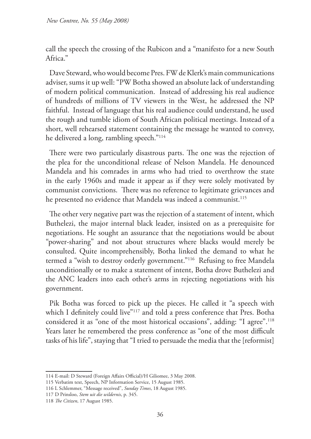call the speech the crossing of the Rubicon and a "manifesto for a new South Africa<sup>"</sup>

Dave Steward, who would become Pres. FW de Klerk's main communications adviser, sums it up well: "PW Botha showed an absolute lack of understanding of modern political communication. Instead of addressing his real audience of hundreds of millions of TV viewers in the West, he addressed the NP faithful. Instead of language that his real audience could understand, he used the rough and tumble idiom of South African political meetings. Instead of a short, well rehearsed statement containing the message he wanted to convey, he delivered a long, rambling speech."114

There were two particularly disastrous parts. The one was the rejection of the plea for the unconditional release of Nelson Mandela. He denounced Mandela and his comrades in arms who had tried to overthrow the state in the early 1960s and made it appear as if they were solely motivated by communist convictions. There was no reference to legitimate grievances and he presented no evidence that Mandela was indeed a communist.<sup>115</sup>

The other very negative part was the rejection of a statement of intent, which Buthelezi, the major internal black leader, insisted on as a prerequisite for negotiations. He sought an assurance that the negotiations would be about "power-sharing" and not about structures where blacks would merely be consulted. Quite incomprehensibly, Botha linked the demand to what he termed a "wish to destroy orderly government."116 Refusing to free Mandela unconditionally or to make a statement of intent, Botha drove Buthelezi and the ANC leaders into each other's arms in rejecting negotiations with his government.

Pik Botha was forced to pick up the pieces. He called it "a speech with which I definitely could live"<sup>117</sup> and told a press conference that Pres. Botha considered it as "one of the most historical occasions", adding: "I agree".118 Years later he remembered the press conference as "one of the most difficult tasks of his life", staying that "I tried to persuade the media that the [reformist]

<sup>114</sup> E-mail: D Steward (Foreign Affairs Official)/H Giliomee, 3 May 2008.

<sup>115</sup> Verbatim text, Speech, NP Information Service, 15 August 1985.

<sup>116</sup> L Schlemmer, "Message received", *Sunday Times*, 18 August 1985.

<sup>117</sup> D Prinsloo, *Stem uit die wildernis*, p. 345.

<sup>118</sup> *The Citizen*, 17 August 1985.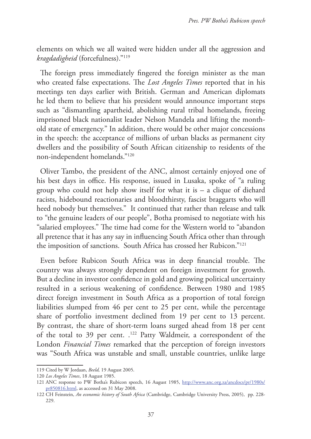elements on which we all waited were hidden under all the aggression and *kragdadigheid* (forcefulness)."119

The foreign press immediately fingered the foreign minister as the man who created false expectations. The *Lost Angeles Times* reported that in his meetings ten days earlier with British. German and American diplomats he led them to believe that his president would announce important steps such as "dismantling apartheid, abolishing rural tribal homelands, freeing imprisoned black nationalist leader Nelson Mandela and lifting the monthold state of emergency." In addition, there would be other major concessions in the speech: the acceptance of millions of urban blacks as permanent city dwellers and the possibility of South African citizenship to residents of the non-independent homelands."120

Oliver Tambo, the president of the ANC, almost certainly enjoyed one of his best days in office. His response, issued in Lusaka, spoke of "a ruling group who could not help show itself for what it is – a clique of diehard racists, hidebound reactionaries and bloodthirsty, fascist braggarts who will heed nobody but themselves." It continued that rather than release and talk to "the genuine leaders of our people", Botha promised to negotiate with his "salaried employees." The time had come for the Western world to "abandon all pretence that it has any say in influencing South Africa other than through the imposition of sanctions. South Africa has crossed her Rubicon."121

Even before Rubicon South Africa was in deep financial trouble. The country was always strongly dependent on foreign investment for growth. But a decline in investor confidence in gold and growing political uncertainty resulted in a serious weakening of confidence. Between 1980 and 1985 direct foreign investment in South Africa as a proportion of total foreign liabilities slumped from 46 per cent to 25 per cent, while the percentage share of portfolio investment declined from 19 per cent to 13 percent. By contrast, the share of short-term loans surged ahead from 18 per cent of the total to 39 per cent. .<sup>122</sup> Patty Waldmeir, a correspondent of the London *Financial Times* remarked that the perception of foreign investors was "South Africa was unstable and small, unstable countries, unlike large

<sup>119</sup> Cited by W Jordaan, *Beeld,* 19 August 2005.

<sup>120</sup> *Los Angeles Times*, 18 August 1985.

<sup>121</sup> ANC response to PW Botha's Rubicon speech, 16 August 1985, http://www.anc.org.za/ancdocs/pr/1980s/ pr850816.html, as accessed on 31 May 2008.

<sup>122</sup> CH Feinstein, *An economic history of South Africa* (Cambridge, Cambridge University Press, 2005), pp. 228- 229.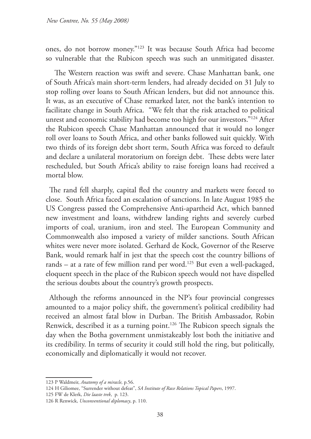ones, do not borrow money."123 It was because South Africa had become so vulnerable that the Rubicon speech was such an unmitigated disaster.

 The Western reaction was swift and severe. Chase Manhattan bank, one of South Africa's main short-term lenders, had already decided on 31 July to stop rolling over loans to South African lenders, but did not announce this. It was, as an executive of Chase remarked later, not the bank's intention to facilitate change in South Africa. "We felt that the risk attached to political unrest and economic stability had become too high for our investors."124 After the Rubicon speech Chase Manhattan announced that it would no longer roll over loans to South Africa, and other banks followed suit quickly. With two thirds of its foreign debt short term, South Africa was forced to default and declare a unilateral moratorium on foreign debt. These debts were later rescheduled, but South Africa's ability to raise foreign loans had received a mortal blow.

The rand fell sharply, capital fled the country and markets were forced to close. South Africa faced an escalation of sanctions. In late August 1985 the US Congress passed the Comprehensive Anti-apartheid Act, which banned new investment and loans, withdrew landing rights and severely curbed imports of coal, uranium, iron and steel. The European Community and Commonwealth also imposed a variety of milder sanctions. South African whites were never more isolated. Gerhard de Kock, Governor of the Reserve Bank, would remark half in jest that the speech cost the country billions of rands – at a rate of few million rand per word.<sup>125</sup> But even a well-packaged, eloquent speech in the place of the Rubicon speech would not have dispelled the serious doubts about the country's growth prospects.

Although the reforms announced in the NP's four provincial congresses amounted to a major policy shift, the government's political credibility had received an almost fatal blow in Durban. The British Ambassador, Robin Renwick, described it as a turning point.<sup>126</sup> The Rubicon speech signals the day when the Botha government unmistakeably lost both the initiative and its credibility. In terms of security it could still hold the ring, but politically, economically and diplomatically it would not recover.

<sup>123</sup> P Waldmeir, *Anatomy of a miracle,* p.56.

<sup>124</sup> H Giliomee, "Surrender without defeat", *SA Institute of Race Relations Topical Papers*, 1997.

<sup>125</sup> FW de Klerk, *Die laaste trek*, p. 123.

<sup>126</sup> R Renwick, *Unconventional diplomacy*, p. 110.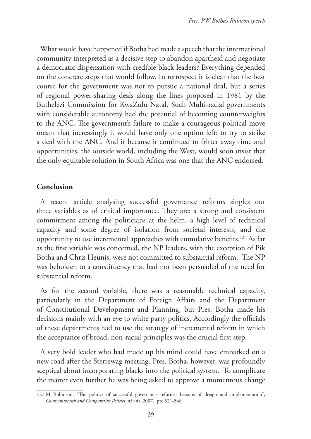What would have happened if Botha had made a speech that the international community interpreted as a decisive step to abandon apartheid and negotiate a democratic dispensation with credible black leaders? Everything depended on the concrete steps that would follow. In retrospect it is clear that the best course for the government was not to pursue a national deal, but a series of regional power-sharing deals along the lines proposed in 1981 by the Buthelezi Commission for KwaZulu-Natal. Such Multi-racial governments with considerable autonomy had the potential of becoming counterweights to the ANC. The government's failure to make a courageous political move meant that increasingly it would have only one option left: to try to strike a deal with the ANC. And it because it continued to fritter away time and opportunities, the outside world, including the West, would soon insist that the only equitable solution in South Africa was one that the ANC endorsed.

# **Conclusion**

A recent article analysing successful governance reforms singles out three variables as of critical importance. They are: a strong and consistent commitment among the politicians at the helm, a high level of technical capacity and some degree of isolation from societal interests, and the opportunity to use incremental approaches with cumulative benefits.127 As far as the first variable was concerned, the NP leaders, with the exception of Pik Botha and Chris Heunis, were not committed to substantial reform. The NP was beholden to a constituency that had not been persuaded of the need for substantial reform.

As for the second variable, there was a reasonable technical capacity, particularly in the Department of Foreign Affairs and the Department of Constitutional Development and Planning, but Pres. Botha made his decisions mainly with an eye to white party politics. Accordingly the officials of these departments had to use the strategy of incremental reform in which the acceptance of broad, non-racial principles was the crucial first step.

A very bold leader who had made up his mind could have embarked on a new road after the Sterrewag meeting. Pres. Botha, however, was profoundly sceptical about incorporating blacks into the political system. To complicate the matter even further he was being asked to approve a momentous change

<sup>127</sup> M Robinson, "The politics of successful governance reforms: Lessons of design and implementation", *Commonwealth and Comparative Politics*, 45 (4), 2007, pp. 521-548.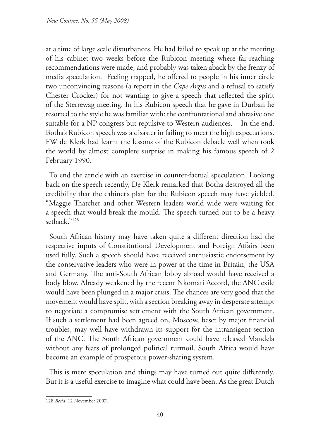at a time of large scale disturbances. He had failed to speak up at the meeting of his cabinet two weeks before the Rubicon meeting where far-reaching recommendations were made, and probably was taken aback by the frenzy of media speculation. Feeling trapped, he offered to people in his inner circle two unconvincing reasons (a report in the *Cape Argus* and a refusal to satisfy Chester Crocker) for not wanting to give a speech that reflected the spirit of the Sterrewag meeting. In his Rubicon speech that he gave in Durban he resorted to the style he was familiar with: the confrontational and abrasive one suitable for a NP congress but repulsive to Western audiences. In the end, Botha's Rubicon speech was a disaster in failing to meet the high expectations. FW de Klerk had learnt the lessons of the Rubicon debacle well when took the world by almost complete surprise in making his famous speech of 2 February 1990.

To end the article with an exercise in counter-factual speculation. Looking back on the speech recently, De Klerk remarked that Botha destroyed all the credibility that the cabinet's plan for the Rubicon speech may have yielded. "Maggie Thatcher and other Western leaders world wide were waiting for a speech that would break the mould. The speech turned out to be a heavy setback."128

South African history may have taken quite a different direction had the respective inputs of Constitutional Development and Foreign Affairs been used fully. Such a speech should have received enthusiastic endorsement by the conservative leaders who were in power at the time in Britain, the USA and Germany. The anti-South African lobby abroad would have received a body blow. Already weakened by the recent Nkomati Accord, the ANC exile would have been plunged in a major crisis. The chances are very good that the movement would have split, with a section breaking away in desperate attempt to negotiate a compromise settlement with the South African government. If such a settlement had been agreed on, Moscow, beset by major financial troubles, may well have withdrawn its support for the intransigent section of the ANC. The South African government could have released Mandela without any fears of prolonged political turmoil. South Africa would have become an example of prosperous power-sharing system.

This is mere speculation and things may have turned out quite differently. But it is a useful exercise to imagine what could have been. As the great Dutch

<sup>128</sup> *Beeld*, 12 November 2007.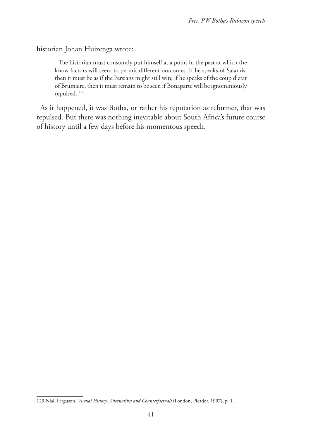historian Johan Huizenga wrote:

The historian must constantly put himself at a point in the past at which the know factors will seem to permit different outcomes. If he speaks of Salamis, then it must be as if the Persians might still win; if he speaks of the coup d'etat of Brumaire, then it must remain to be seen if Bonaparte will be ignominiously repulsed. 129

As it happened, it was Botha, or rather his reputation as reformer, that was repulsed. But there was nothing inevitable about South Africa's future course of history until a few days before his momentous speech.

<sup>129</sup> Niall Ferguson, *Virtual History: Alternatives and Counterfactuals* (London, Picador, 1997), p. 1.